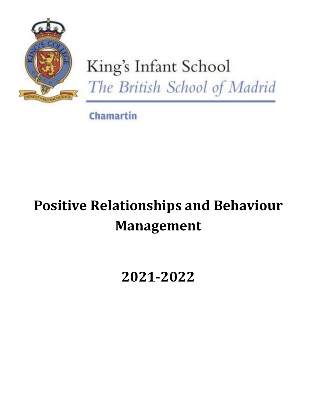

# King's Infant School The British School of Madrid

**Chamartin** 

# **Positive Relationships and Behaviour Management**

# **2021-2022**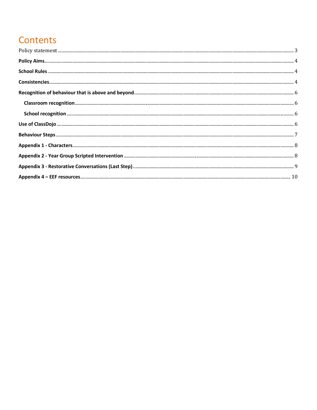# **Contents**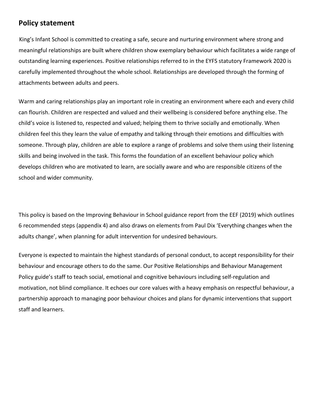#### <span id="page-2-0"></span>**Policy statement**

King's Infant School is committed to creating a safe, secure and nurturing environment where strong and meaningful relationships are built where children show exemplary behaviour which facilitates a wide range of outstanding learning experiences. Positive relationships referred to in the EYFS statutory Framework 2020 is carefully implemented throughout the whole school. Relationships are developed through the forming of attachments between adults and peers.

Warm and caring relationships play an important role in creating an environment where each and every child can flourish. Children are respected and valued and their wellbeing is considered before anything else. The child's voice is listened to, respected and valued; helping them to thrive socially and emotionally. When children feel this they learn the value of empathy and talking through their emotions and difficulties with someone. Through play, children are able to explore a range of problems and solve them using their listening skills and being involved in the task. This forms the foundation of an excellent behaviour policy which develops children who are motivated to learn, are socially aware and who are responsible citizens of the school and wider community.

This policy is based on the Improving Behaviour in School guidance report from the EEF (2019) which outlines 6 recommended steps (appendix 4) and also draws on elements from Paul Dix 'Everything changes when the adults change', when planning for adult intervention for undesired behaviours.

Everyone is expected to maintain the highest standards of personal conduct, to accept responsibility for their behaviour and encourage others to do the same. Our Positive Relationships and Behaviour Management Policy guide's staff to teach social, emotional and cognitive behaviours including self-regulation and motivation, not blind compliance. It echoes our core values with a heavy emphasis on respectful behaviour, a partnership approach to managing poor behaviour choices and plans for dynamic interventions that support staff and learners.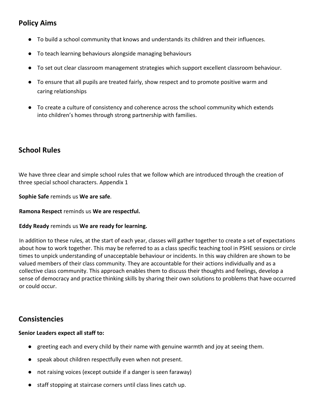# <span id="page-3-0"></span>**Policy Aims**

- To build a school community that knows and understands its children and their influences.
- To teach learning behaviours alongside managing behaviours
- To set out clear classroom management strategies which support excellent classroom behaviour.
- To ensure that all pupils are treated fairly, show respect and to promote positive warm and caring relationships
- To create a culture of consistency and coherence across the school community which extends into children's homes through strong partnership with families.

## <span id="page-3-1"></span>**School Rules**

We have three clear and simple school rules that we follow which are introduced through the creation of three special school characters. Appendix 1

**Sophie Safe** reminds us **We are safe**.

**Ramona Respect** reminds us **We are respectful.** 

#### **Eddy Ready** reminds us **We are ready for learning.**

In addition to these rules, at the start of each year, classes will gather together to create a set of expectations about how to work together. This may be referred to as a class specific teaching tool in PSHE sessions or circle times to unpick understanding of unacceptable behaviour or incidents. In this way children are shown to be valued members of their class community. They are accountable for their actions individually and as a collective class community. This approach enables them to discuss their thoughts and feelings, develop a sense of democracy and practice thinking skills by sharing their own solutions to problems that have occurred or could occur.

#### <span id="page-3-2"></span>**Consistencies**

#### **Senior Leaders expect all staff to:**

- greeting each and every child by their name with genuine warmth and joy at seeing them.
- speak about children respectfully even when not present.
- not raising voices (except outside if a danger is seen faraway)
- staff stopping at staircase corners until class lines catch up.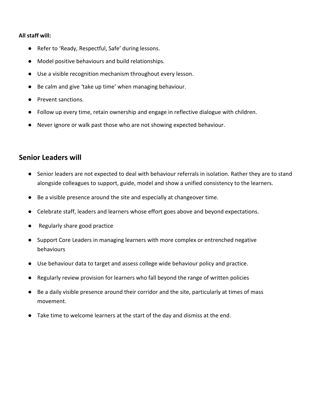#### **All staff will:**

- Refer to 'Ready, Respectful, Safe' during lessons.
- Model positive behaviours and build relationships.
- Use a visible recognition mechanism throughout every lesson.
- Be calm and give 'take up time' when managing behaviour.
- Prevent sanctions.
- Follow up every time, retain ownership and engage in reflective dialogue with children.
- Never ignore or walk past those who are not showing expected behaviour.

## **Senior Leaders will**

- Senior leaders are not expected to deal with behaviour referrals in isolation. Rather they are to stand alongside colleagues to support, guide, model and show a unified consistency to the learners.
- Be a visible presence around the site and especially at changeover time.
- Celebrate staff, leaders and learners whose effort goes above and beyond expectations.
- Regularly share good practice
- Support Core Leaders in managing learners with more complex or entrenched negative behaviours
- Use behaviour data to target and assess college wide behaviour policy and practice.
- Regularly review provision for learners who fall beyond the range of written policies
- Be a daily visible presence around their corridor and the site, particularly at times of mass movement.
- Take time to welcome learners at the start of the day and dismiss at the end.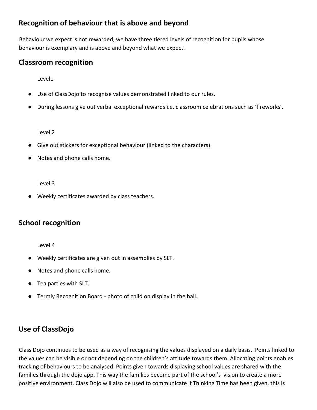## <span id="page-5-0"></span>**Recognition of behaviour that is above and beyond**

Behaviour we expect is not rewarded, we have three tiered levels of recognition for pupils whose behaviour is exemplary and is above and beyond what we expect.

#### <span id="page-5-1"></span>**Classroom recognition**

Level1

- Use of ClassDojo to recognise values demonstrated linked to our rules.
- During lessons give out verbal exceptional rewards i.e. classroom celebrations such as 'fireworks'.

Level 2

- Give out stickers for exceptional behaviour (linked to the characters).
- Notes and phone calls home.

Level 3

● Weekly certificates awarded by class teachers.

#### <span id="page-5-2"></span>**School recognition**

Level 4

- Weekly certificates are given out in assemblies by SLT.
- Notes and phone calls home.
- Tea parties with SLT.
- Termly Recognition Board photo of child on display in the hall.

# <span id="page-5-3"></span>**Use of ClassDojo**

Class Dojo continues to be used as a way of recognising the values displayed on a daily basis. Points linked to the values can be visible or not depending on the children's attitude towards them. Allocating points enables tracking of behaviours to be analysed. Points given towards displaying school values are shared with the families through the dojo app. This way the families become part of the school's vision to create a more positive environment. Class Dojo will also be used to communicate if Thinking Time has been given, this is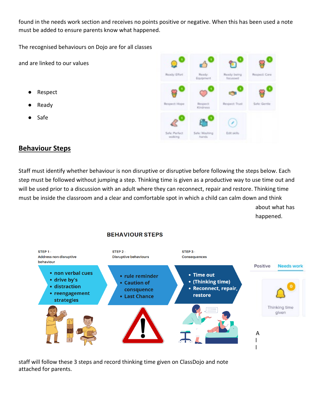found in the needs work section and receives no points positive or negative. When this has been used a note must be added to ensure parents know what happened.

The recognised behaviours on Dojo are for all classes

and are linked to our values

- **Respect**
- Ready
- **Safe**



#### <span id="page-6-0"></span>**Behaviour Steps**

Staff must identify whether behaviour is non disruptive or disruptive before following the steps below. Each step must be followed without jumping a step. Thinking time is given as a productive way to use time out and will be used prior to a discussion with an adult where they can reconnect, repair and restore. Thinking time must be inside the classroom and a clear and comfortable spot in which a child can calm down and think about what has happened.

#### **BEHAVIOUR STEPS**



staff will follow these 3 steps and record thinking time given on ClassDojo and note attached for parents.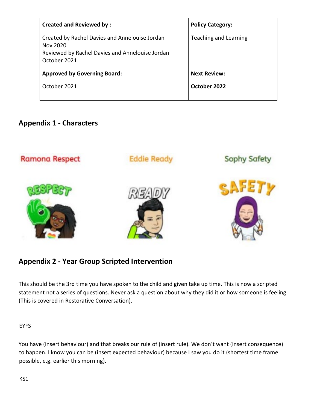| <b>Created and Reviewed by:</b>                                                                                               | <b>Policy Category:</b>      |
|-------------------------------------------------------------------------------------------------------------------------------|------------------------------|
| Created by Rachel Davies and Annelouise Jordan<br>Nov 2020<br>Reviewed by Rachel Davies and Annelouise Jordan<br>October 2021 | <b>Teaching and Learning</b> |
| <b>Approved by Governing Board:</b>                                                                                           | <b>Next Review:</b>          |
| October 2021                                                                                                                  | October 2022                 |

## <span id="page-7-0"></span>**Appendix 1 - Characters**



# <span id="page-7-1"></span>**Appendix 2 - Year Group Scripted Intervention**

This should be the 3rd time you have spoken to the child and given take up time. This is now a scripted statement not a series of questions. Never ask a question about why they did it or how someone is feeling. (This is covered in Restorative Conversation).

#### **FYFS**

You have (insert behaviour) and that breaks our rule of (insert rule). We don't want (insert consequence) to happen. I know you can be (insert expected behaviour) because I saw you do it (shortest time frame possible, e.g. earlier this morning).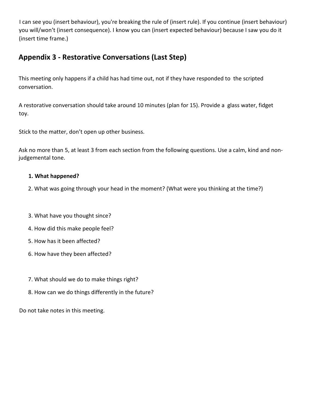I can see you (insert behaviour), you're breaking the rule of (insert rule). If you continue (insert behaviour) you will/won't (insert consequence). I know you can (insert expected behaviour) because I saw you do it (insert time frame.)

# <span id="page-8-0"></span>**Appendix 3 - Restorative Conversations (Last Step)**

This meeting only happens if a child has had time out, not if they have responded to the scripted conversation.

A restorative conversation should take around 10 minutes (plan for 15). Provide a glass water, fidget toy.

Stick to the matter, don't open up other business.

Ask no more than 5, at least 3 from each section from the following questions. Use a calm, kind and nonjudgemental tone.

#### **1. What happened?**

- 2. What was going through your head in the moment? (What were you thinking at the time?)
- 3. What have you thought since?
- 4. How did this make people feel?
- 5. How has it been affected?
- 6. How have they been affected?
- 7. What should we do to make things right?
- 8. How can we do things differently in the future?

Do not take notes in this meeting.